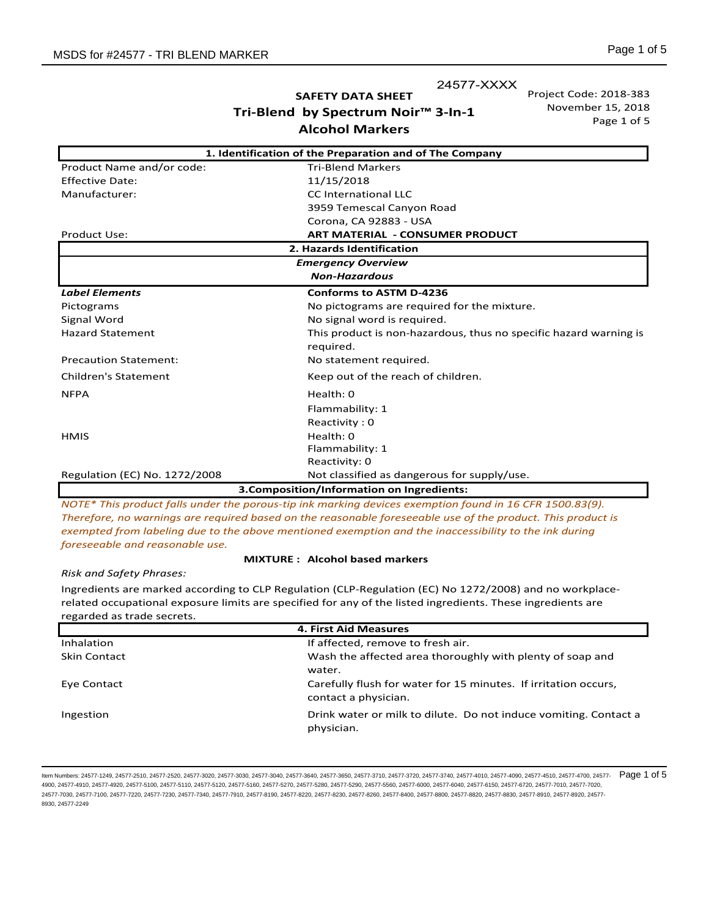24577-XXXX

**SAFETY DATA SHEET Tri-Blend by Spectrum Noir™ 3-In-1 Alcohol Markers** 

Project Code: 2018-383 November 15, 2018 Page 1 of 5

| 1. Identification of the Preparation and of The Company |                                                                   |  |
|---------------------------------------------------------|-------------------------------------------------------------------|--|
| Product Name and/or code:                               | <b>Tri-Blend Markers</b>                                          |  |
| <b>Effective Date:</b>                                  | 11/15/2018                                                        |  |
| Manufacturer:                                           | <b>CC</b> International LLC                                       |  |
|                                                         | 3959 Temescal Canyon Road                                         |  |
|                                                         | Corona, CA 92883 - USA                                            |  |
| Product Use:                                            | <b>ART MATERIAL - CONSUMER PRODUCT</b>                            |  |
| 2. Hazards Identification                               |                                                                   |  |
| <b>Emergency Overview</b>                               |                                                                   |  |
| <b>Non-Hazardous</b>                                    |                                                                   |  |
| <b>Label Elements</b>                                   | <b>Conforms to ASTM D-4236</b>                                    |  |
| Pictograms                                              | No pictograms are required for the mixture.                       |  |
| Signal Word                                             | No signal word is required.                                       |  |
| <b>Hazard Statement</b>                                 | This product is non-hazardous, thus no specific hazard warning is |  |
|                                                         | required.                                                         |  |
| <b>Precaution Statement:</b>                            | No statement required.                                            |  |
| <b>Children's Statement</b>                             | Keep out of the reach of children.                                |  |
| <b>NFPA</b>                                             | Health: 0                                                         |  |
|                                                         | Flammability: 1                                                   |  |
|                                                         | Reactivity: 0                                                     |  |
| <b>HMIS</b>                                             | Health: 0                                                         |  |
|                                                         | Flammability: 1                                                   |  |
|                                                         | Reactivity: 0                                                     |  |
| Regulation (EC) No. 1272/2008                           | Not classified as dangerous for supply/use.                       |  |
| 3. Composition/Information on Ingredients:              |                                                                   |  |

*NOTE\* This product falls under the porous-tip ink marking devices exemption found in 16 CFR 1500.83(9). Therefore, no warnings are required based on the reasonable foreseeable use of the product. This product is exempted from labeling due to the above mentioned exemption and the inaccessibility to the ink during foreseeable and reasonable use.*

#### **MIXTURE : Alcohol based markers**

*Risk and Safety Phrases:* 

Ingredients are marked according to CLP Regulation (CLP-Regulation (EC) No 1272/2008) and no workplacerelated occupational exposure limits are specified for any of the listed ingredients. These ingredients are regarded as trade secrets.

| 4. First Aid Measures |                                                                  |
|-----------------------|------------------------------------------------------------------|
| Inhalation            | If affected, remove to fresh air.                                |
| <b>Skin Contact</b>   | Wash the affected area thoroughly with plenty of soap and        |
|                       | water.                                                           |
| Eye Contact           | Carefully flush for water for 15 minutes. If irritation occurs,  |
|                       | contact a physician.                                             |
| Ingestion             | Drink water or milk to dilute. Do not induce vomiting. Contact a |
|                       | physician.                                                       |

ltem Numbers: 24577-1249, 24577-2510, 24577-2520, 24577-3030, 24577-3040, 24577-3640, 24577-3650, 24577-3710, 24577-3720, 24577-3720, 24577-4010, 24577-4090, 24577-4710, 24577-4710, 24577-4700, 24577-4700, 24577-4710, 2457 4900, 24577-4910, 24577-4920, 24577-5100, 24577-5110, 24577-5120, 24577-5160, 24577-5280, 24577-5290, 24577-5560, 24577-6000, 24577-6040, 24577-6150, 24577-6720, 24577-7010, 24577-6720, 24577-6720, 24577-6720, 24577-8720, 2 24577-7030, 24577-7100, 24577-7220, 24577-7230, 24577-7340, 24577-7910, 24577-8190, 24577-8220, 24577-8230, 24577-8260, 24577-8400, 24577-8800, 24577-8820, 24577-8830, 24577-8910, 24577-8920, 24577- 8930, 24577-2249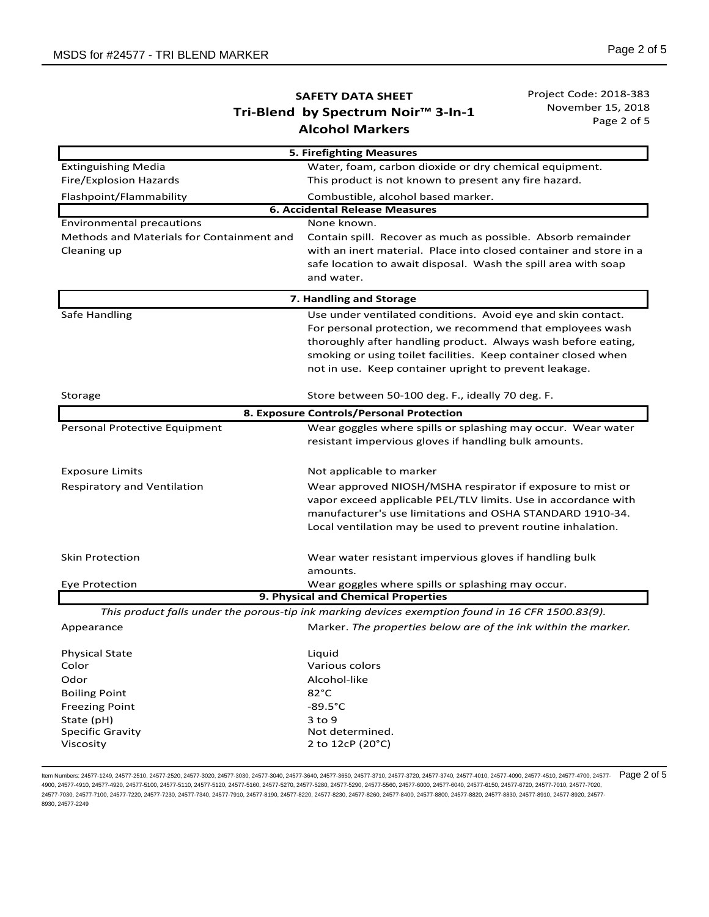Project Code: 2018-383 November 15, 2018 Page 2 of 5

|                                           | 5. Firefighting Measures                                                                          |  |  |
|-------------------------------------------|---------------------------------------------------------------------------------------------------|--|--|
| <b>Extinguishing Media</b>                | Water, foam, carbon dioxide or dry chemical equipment.                                            |  |  |
| Fire/Explosion Hazards                    | This product is not known to present any fire hazard.                                             |  |  |
| Flashpoint/Flammability                   | Combustible, alcohol based marker.                                                                |  |  |
| <b>6. Accidental Release Measures</b>     |                                                                                                   |  |  |
| <b>Environmental precautions</b>          | None known.                                                                                       |  |  |
| Methods and Materials for Containment and | Contain spill. Recover as much as possible. Absorb remainder                                      |  |  |
| Cleaning up                               | with an inert material. Place into closed container and store in a                                |  |  |
|                                           | safe location to await disposal. Wash the spill area with soap                                    |  |  |
|                                           | and water.                                                                                        |  |  |
|                                           | 7. Handling and Storage                                                                           |  |  |
| Safe Handling                             | Use under ventilated conditions. Avoid eye and skin contact.                                      |  |  |
|                                           | For personal protection, we recommend that employees wash                                         |  |  |
|                                           | thoroughly after handling product. Always wash before eating,                                     |  |  |
|                                           | smoking or using toilet facilities. Keep container closed when                                    |  |  |
|                                           | not in use. Keep container upright to prevent leakage.                                            |  |  |
| Storage                                   | Store between 50-100 deg. F., ideally 70 deg. F.                                                  |  |  |
|                                           | 8. Exposure Controls/Personal Protection                                                          |  |  |
| Personal Protective Equipment             | Wear goggles where spills or splashing may occur. Wear water                                      |  |  |
|                                           | resistant impervious gloves if handling bulk amounts.                                             |  |  |
| <b>Exposure Limits</b>                    | Not applicable to marker                                                                          |  |  |
| Respiratory and Ventilation               | Wear approved NIOSH/MSHA respirator if exposure to mist or                                        |  |  |
|                                           | vapor exceed applicable PEL/TLV limits. Use in accordance with                                    |  |  |
|                                           | manufacturer's use limitations and OSHA STANDARD 1910-34.                                         |  |  |
|                                           | Local ventilation may be used to prevent routine inhalation.                                      |  |  |
| <b>Skin Protection</b>                    | Wear water resistant impervious gloves if handling bulk                                           |  |  |
|                                           | amounts.                                                                                          |  |  |
| Eye Protection                            | Wear goggles where spills or splashing may occur.                                                 |  |  |
|                                           | 9. Physical and Chemical Properties                                                               |  |  |
|                                           | This product falls under the porous-tip ink marking devices exemption found in 16 CFR 1500.83(9). |  |  |
| Appearance                                | Marker. The properties below are of the ink within the marker.                                    |  |  |
|                                           |                                                                                                   |  |  |
| <b>Physical State</b>                     | Liquid                                                                                            |  |  |
| Color                                     | Various colors                                                                                    |  |  |
| Odor                                      | Alcohol-like                                                                                      |  |  |
| <b>Boiling Point</b>                      | 82°C                                                                                              |  |  |
| <b>Freezing Point</b>                     | $-89.5^{\circ}$ C                                                                                 |  |  |
| State (pH)<br><b>Specific Gravity</b>     | 3 to 9<br>Not determined.                                                                         |  |  |
| Viscosity                                 | 2 to 12cP (20°C)                                                                                  |  |  |
|                                           |                                                                                                   |  |  |

ltem Numbers: 24577-1249, 24577-2510, 24577-2520, 24577-3030, 24577-3040, 24577-3640, 24577-3650, 24577-3710, 24577-3720, 24577-3720, 24577-4010, 24577-4090, 24577-4710, 24577-4710, 24577-4700, 24577-4700, 24577-4710, 2457 4900, 24577-4910, 24577-4920, 24577-5100, 24577-5110, 24577-5120, 24577-5160, 24577-5280, 24577-5280, 24577-5560, 24577-6000, 24577-6040, 24577-6160, 24577-6720, 24577-7010, 24577-6720, 24577-6720, 24577-6720, 24577-8720, 2 24577-7030, 24577-7100, 24577-7220, 24577-7230, 24577-7340, 24577-7910, 24577-8190, 24577-8220, 24577-8230, 24577-8260, 24577-8400, 24577-8800, 24577-8820, 24577-8830, 24577-8910, 24577-8920, 24577- 8930, 24577-2249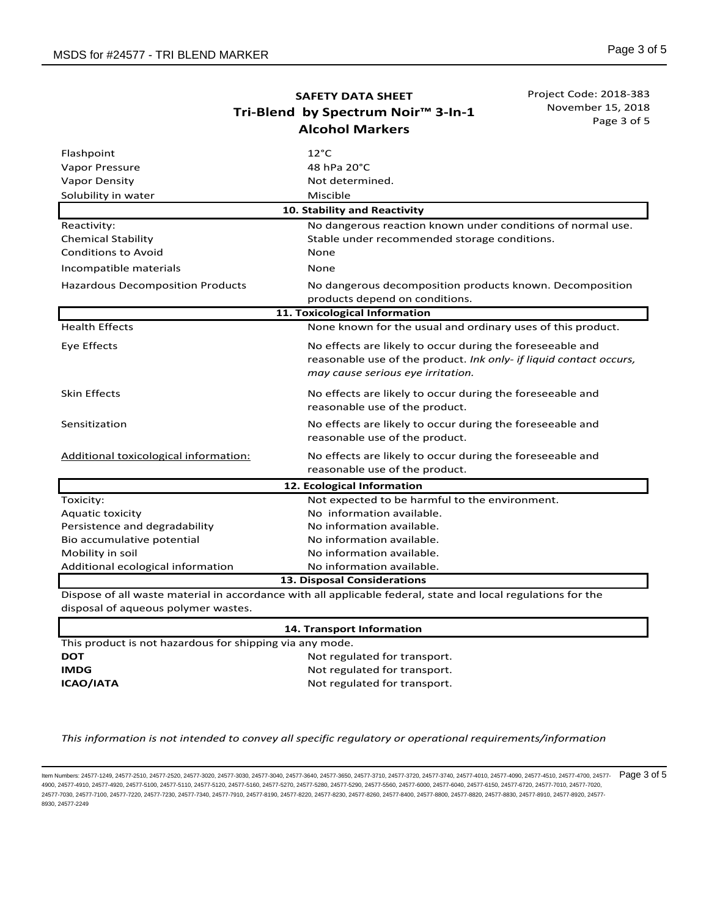Project Code: 2018-383 November 15, 2018 Page 3 of 5

| Flashpoint                                                                                                   | $12^{\circ}$ C                                                                                                                                                       |  |
|--------------------------------------------------------------------------------------------------------------|----------------------------------------------------------------------------------------------------------------------------------------------------------------------|--|
| Vapor Pressure                                                                                               | 48 hPa 20°C                                                                                                                                                          |  |
| <b>Vapor Density</b>                                                                                         | Not determined.                                                                                                                                                      |  |
| Solubility in water                                                                                          | Miscible                                                                                                                                                             |  |
|                                                                                                              | 10. Stability and Reactivity                                                                                                                                         |  |
| Reactivity:                                                                                                  | No dangerous reaction known under conditions of normal use.                                                                                                          |  |
| <b>Chemical Stability</b>                                                                                    | Stable under recommended storage conditions.                                                                                                                         |  |
| <b>Conditions to Avoid</b>                                                                                   | None                                                                                                                                                                 |  |
| Incompatible materials                                                                                       | None                                                                                                                                                                 |  |
| <b>Hazardous Decomposition Products</b>                                                                      | No dangerous decomposition products known. Decomposition                                                                                                             |  |
|                                                                                                              | products depend on conditions.                                                                                                                                       |  |
|                                                                                                              | 11. Toxicological Information                                                                                                                                        |  |
| <b>Health Effects</b>                                                                                        | None known for the usual and ordinary uses of this product.                                                                                                          |  |
| Eye Effects                                                                                                  | No effects are likely to occur during the foreseeable and<br>reasonable use of the product. Ink only- if liquid contact occurs,<br>may cause serious eye irritation. |  |
| <b>Skin Effects</b>                                                                                          | No effects are likely to occur during the foreseeable and<br>reasonable use of the product.                                                                          |  |
| Sensitization                                                                                                | No effects are likely to occur during the foreseeable and<br>reasonable use of the product.                                                                          |  |
| Additional toxicological information:                                                                        | No effects are likely to occur during the foreseeable and<br>reasonable use of the product.                                                                          |  |
| 12. Ecological Information                                                                                   |                                                                                                                                                                      |  |
| Toxicity:                                                                                                    | Not expected to be harmful to the environment.                                                                                                                       |  |
| Aquatic toxicity                                                                                             | No information available.                                                                                                                                            |  |
| Persistence and degradability                                                                                | No information available.                                                                                                                                            |  |
| Bio accumulative potential                                                                                   | No information available.                                                                                                                                            |  |
| Mobility in soil                                                                                             | No information available.                                                                                                                                            |  |
| Additional ecological information                                                                            | No information available.                                                                                                                                            |  |
| 13. Disposal Considerations                                                                                  |                                                                                                                                                                      |  |
| Dispose of all waste material in accordance with all applicable federal, state and local regulations for the |                                                                                                                                                                      |  |

disposal of aqueous polymer wastes.

| 14. Transport Information                                |  |  |
|----------------------------------------------------------|--|--|
| This product is not hazardous for shipping via any mode. |  |  |
| Not regulated for transport.                             |  |  |
| Not regulated for transport.                             |  |  |
| Not regulated for transport.                             |  |  |
|                                                          |  |  |

*This information is not intended to convey all specific regulatory or operational requirements/information* 

ltem Numbers: 24577-1249, 24577-2510, 24577-2520, 24577-3030, 24577-3040, 24577-3640, 24577-3650, 24577-3710, 24577-3720, 24577-300, 24577-4010, 24577-4090, 24577-4010, 24577-4700, 24577-4700, 24577-4700, 24577-4710, 24577 4900, 24577-4910, 24577-4920, 24577-5100, 24577-5110, 24577-5120, 24577-5160, 24577-5280, 24577-5280, 24577-5560, 24577-6000, 24577-6040, 24577-6160, 24577-6720, 24577-7010, 24577-6720, 24577-6720, 24577-6720, 24577-8720, 2 24577-7030, 24577-7100, 24577-7220, 24577-7230, 24577-7340, 24577-7910, 24577-8190, 24577-8220, 24577-8230, 24577-8260, 24577-8400, 24577-8800, 24577-8820, 24577-8830, 24577-8910, 24577-8920, 24577- 8930, 24577-2249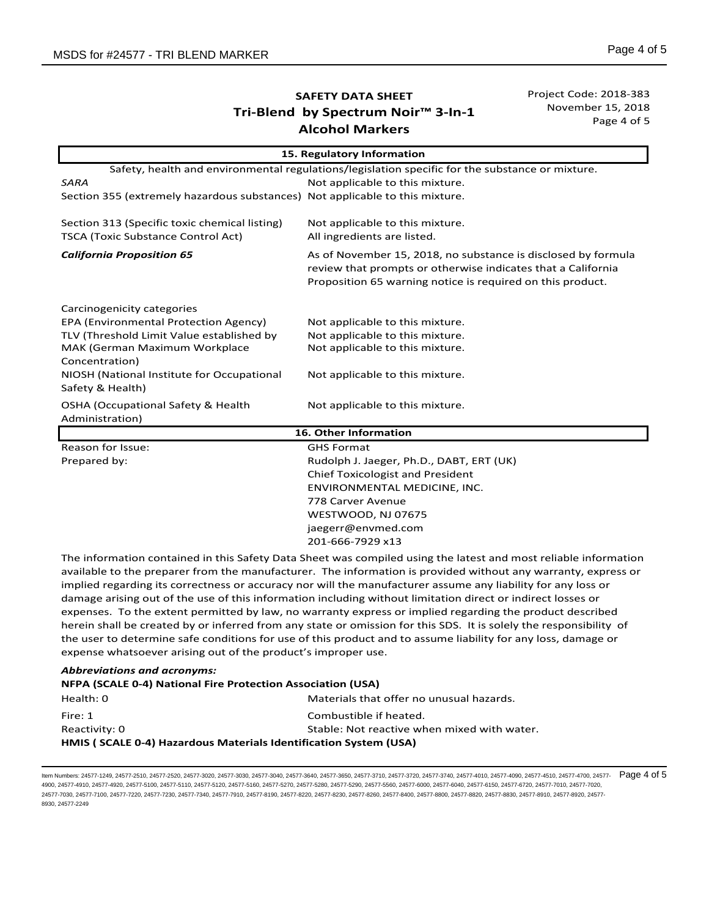Project Code: 2018-383 November 15, 2018 Page 4 of 5

| 15. Regulatory Information                                                                      |                                                                                                                                                                                             |  |
|-------------------------------------------------------------------------------------------------|---------------------------------------------------------------------------------------------------------------------------------------------------------------------------------------------|--|
| Safety, health and environmental regulations/legislation specific for the substance or mixture. |                                                                                                                                                                                             |  |
| <b>SARA</b>                                                                                     | Not applicable to this mixture.                                                                                                                                                             |  |
| Section 355 (extremely hazardous substances) Not applicable to this mixture.                    |                                                                                                                                                                                             |  |
| Section 313 (Specific toxic chemical listing)                                                   | Not applicable to this mixture.                                                                                                                                                             |  |
| <b>TSCA (Toxic Substance Control Act)</b>                                                       | All ingredients are listed.                                                                                                                                                                 |  |
| <b>California Proposition 65</b>                                                                | As of November 15, 2018, no substance is disclosed by formula<br>review that prompts or otherwise indicates that a California<br>Proposition 65 warning notice is required on this product. |  |
| Carcinogenicity categories                                                                      |                                                                                                                                                                                             |  |
| EPA (Environmental Protection Agency)                                                           | Not applicable to this mixture.                                                                                                                                                             |  |
| TLV (Threshold Limit Value established by                                                       | Not applicable to this mixture.                                                                                                                                                             |  |
| MAK (German Maximum Workplace<br>Concentration)                                                 | Not applicable to this mixture.                                                                                                                                                             |  |
| NIOSH (National Institute for Occupational<br>Safety & Health)                                  | Not applicable to this mixture.                                                                                                                                                             |  |
| <b>OSHA (Occupational Safety &amp; Health</b><br>Administration)                                | Not applicable to this mixture.                                                                                                                                                             |  |
| 16. Other Information                                                                           |                                                                                                                                                                                             |  |
| Reason for Issue:                                                                               | <b>GHS Format</b>                                                                                                                                                                           |  |
| Prepared by:                                                                                    | Rudolph J. Jaeger, Ph.D., DABT, ERT (UK)                                                                                                                                                    |  |
|                                                                                                 | <b>Chief Toxicologist and President</b>                                                                                                                                                     |  |
|                                                                                                 | ENVIRONMENTAL MEDICINE, INC.                                                                                                                                                                |  |
|                                                                                                 | 778 Carver Avenue                                                                                                                                                                           |  |
|                                                                                                 | WESTWOOD, NJ 07675                                                                                                                                                                          |  |
|                                                                                                 | jaegerr@envmed.com                                                                                                                                                                          |  |

The information contained in this Safety Data Sheet was compiled using the latest and most reliable information available to the preparer from the manufacturer. The information is provided without any warranty, express or implied regarding its correctness or accuracy nor will the manufacturer assume any liability for any loss or damage arising out of the use of this information including without limitation direct or indirect losses or expenses. To the extent permitted by law, no warranty express or implied regarding the product described herein shall be created by or inferred from any state or omission for this SDS. It is solely the responsibility of the user to determine safe conditions for use of this product and to assume liability for any loss, damage or expense whatsoever arising out of the product's improper use.

201-666-7929 x13

#### *Abbreviations and acronyms:*

#### **NFPA (SCALE 0-4) National Fire Protection Association (USA)**

| Health: 0                                                        | Materials that offer no unusual hazards.    |  |
|------------------------------------------------------------------|---------------------------------------------|--|
| Fire: 1                                                          | Combustible if heated.                      |  |
| Reactivity: 0                                                    | Stable: Not reactive when mixed with water. |  |
| HMIS (SCALE 0-4) Hazardous Materials Identification System (USA) |                                             |  |

ltem Numbers: 24577-1249, 24577-2510, 24577-2520, 24577-3030, 24577-3040, 24577-3640, 24577-3650, 24577-3710, 24577-3720, 24577-3720, 24577-4010, 24577-4090, 24577-4710, 24577-4710, 24577-4700, 24577-4700, 24577-4710, 2457 4900, 24577-4910, 24577-4920, 24577-5100, 24577-5110, 24577-5120, 24577-5160, 24577-5280, 24577-5290, 24577-5560, 24577-6000, 24577-6040, 24577-6150, 24577-6720, 24577-7010, 24577-6720, 24577-6720, 24577-6720, 24577-8720, 2 24577-7030, 24577-7100, 24577-7220, 24577-7230, 24577-7340, 24577-7910, 24577-8190, 24577-8220, 24577-8230, 24577-8260, 24577-8400, 24577-8800, 24577-8820, 24577-8830, 24577-8910, 24577-8920, 24577- 8930, 24577-2249